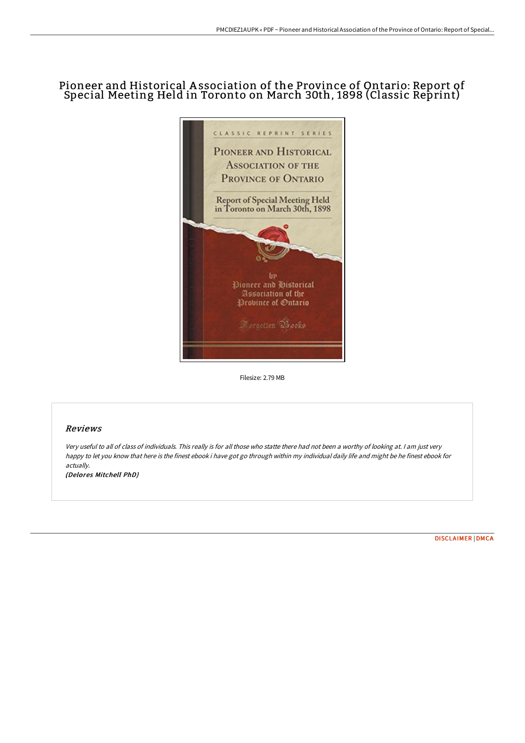# Pioneer and Historical A ssociation of the Province of Ontario: Report of Special Meeting Held in Toronto on March 30th, 1898 (Classic Reprint)



Filesize: 2.79 MB

## Reviews

Very useful to all of class of individuals. This really is for all those who statte there had not been <sup>a</sup> worthy of looking at. <sup>I</sup> am just very happy to let you know that here is the finest ebook i have got go through within my individual daily life and might be he finest ebook for actually. (Delores Mitchell PhD)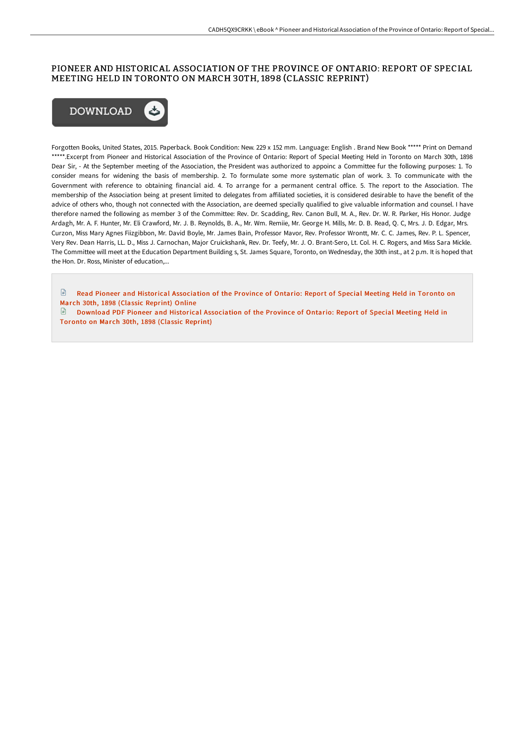## PIONEER AND HISTORICAL ASSOCIATION OF THE PROVINCE OF ONTARIO: REPORT OF SPECIAL MEETING HELD IN TORONTO ON MARCH 30TH, 1898 (CLASSIC REPRINT)



Forgotten Books, United States, 2015. Paperback. Book Condition: New. 229 x 152 mm. Language: English . Brand New Book \*\*\*\*\* Print on Demand \*\*\*\*\*.Excerpt from Pioneer and Historical Association of the Province of Ontario: Report of Special Meeting Held in Toronto on March 30th, 1898 Dear Sir, - At the September meeting of the Association, the President was authorized to appoinc a Committee fur the following purposes: 1. To consider means for widening the basis of membership. 2. To formulate some more systematic plan of work. 3. To communicate with the Government with reference to obtaining financial aid. 4. To arrange for a permanent central office. 5. The report to the Association. The membership of the Association being at present limited to delegates from affiliated societies, it is considered desirable to have the benefit of the advice of others who, though not connected with the Association, are deemed specially qualified to give valuable information and counsel. I have therefore named the following as member 3 of the Committee: Rev. Dr. Scadding, Rev. Canon Bull, M. A., Rev. Dr. W. R. Parker, His Honor. Judge Ardagh, Mr. A. F. Hunter, Mr. Eli Crawford, Mr. J. B. Reynolds, B. A., Mr. Wm. Remiie, Mr. George H. Mills, Mr. D. B. Read, Q. C, Mrs. J. D. Edgar, Mrs. Curzon, Miss Mary Agnes Fiizgibbon, Mr. David Boyle, Mr. James Bain, Professor Mavor, Rev. Professor Wrontt, Mr. C. C. James, Rev. P. L. Spencer, Very Rev. Dean Harris, LL. D., Miss J. Carnochan, Major Cruickshank, Rev. Dr. Teefy, Mr. J. O. Brant-Sero, Lt. Col. H. C. Rogers, and Miss Sara Mickle. The Committee will meet at the Education Department Building s, St. James Square, Toronto, on Wednesday, the 30th inst., at 2 p.m. It is hoped that the Hon. Dr. Ross, Minister of education,...

 $\blacksquare$ Read Pioneer and Historical [Association](http://techno-pub.tech/pioneer-and-historical-association-of-the-provin.html) of the Province of Ontario: Report of Special Meeting Held in Toronto on Mar ch 30th, 1898 (Classic Reprint) Online

 $\blacksquare$ Download PDF Pioneer and Historical [Association](http://techno-pub.tech/pioneer-and-historical-association-of-the-provin.html) of the Province of Ontario: Report of Special Meeting Held in Toronto on March 30th, 1898 (Classic Reprint)